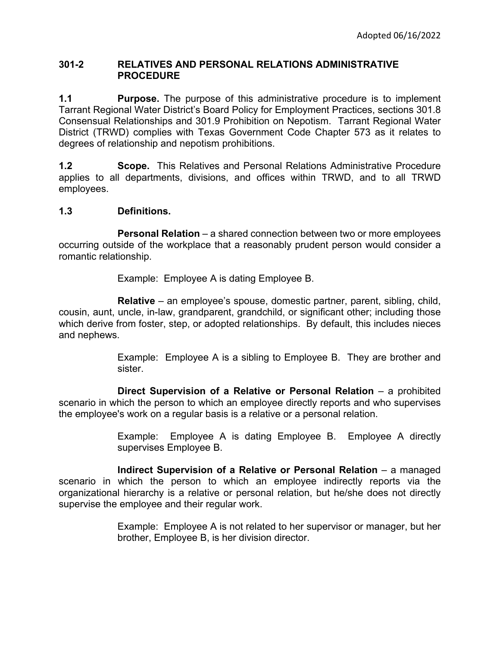## **301-2 RELATIVES AND PERSONAL RELATIONS ADMINISTRATIVE PROCEDURE**

**1.1 Purpose.** The purpose of this administrative procedure is to implement Tarrant Regional Water District's Board Policy for Employment Practices, sections 301.8 Consensual Relationships and 301.9 Prohibition on Nepotism.Tarrant Regional Water District (TRWD) complies with Texas Government Code Chapter 573 as it relates to degrees of relationship and nepotism prohibitions.

**1.2 Scope.** This Relatives and Personal Relations Administrative Procedure applies to all departments, divisions, and offices within TRWD, and to all TRWD employees.

## **1.3 Definitions.**

**Personal Relation** – a shared connection between two or more employees occurring outside of the workplace that a reasonably prudent person would consider a romantic relationship.

Example: Employee A is dating Employee B.

**Relative** – an employee's spouse, domestic partner, parent, sibling, child, cousin, aunt, uncle, in-law, grandparent, grandchild, or significant other; including those which derive from foster, step, or adopted relationships. By default, this includes nieces and nephews.

> Example: Employee A is a sibling to Employee B. They are brother and sister.

**Direct Supervision of a Relative or Personal Relation** – a prohibited scenario in which the person to which an employee directly reports and who supervises the employee's work on a regular basis is a relative or a personal relation.

> Example: Employee A is dating Employee B. Employee A directly supervises Employee B.

**Indirect Supervision of a Relative or Personal Relation** – a managed scenario in which the person to which an employee indirectly reports via the organizational hierarchy is a relative or personal relation, but he/she does not directly supervise the employee and their regular work.

> Example: Employee A is not related to her supervisor or manager, but her brother, Employee B, is her division director.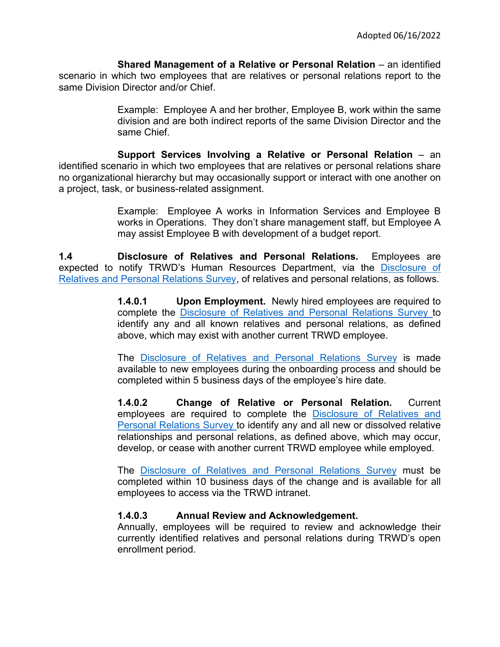**Shared Management of a Relative or Personal Relation** – an identified scenario in which two employees that are relatives or personal relations report to the same Division Director and/or Chief.

> Example: Employee A and her brother, Employee B, work within the same division and are both indirect reports of the same Division Director and the same Chief.

**Support Services Involving a Relative or Personal Relation - an** identified scenario in which two employees that are relatives or personal relations share no organizational hierarchy but may occasionally support or interact with one another on a project, task, or business-related assignment.

> Example: Employee A works in Information Services and Employee B works in Operations. They don't share management staff, but Employee A may assist Employee B with development of a budget report.

**1.4 Disclosure of Relatives and Personal Relations.** Employees are expected to notify TRWD's Human Resources Department, via the [Disclosure of](https://forms.office.com/Pages/ResponsePage.aspx?id=8QreyRs2rkKs46tM6my43NOH6ENl14dGvuouvF1NEX1UQ0Y1Q05SVUlLNFM4WUI2RVFVTDlBNTA4Qi4u)  [Relatives and Personal Relations Survey,](https://forms.office.com/Pages/ResponsePage.aspx?id=8QreyRs2rkKs46tM6my43NOH6ENl14dGvuouvF1NEX1UQ0Y1Q05SVUlLNFM4WUI2RVFVTDlBNTA4Qi4u) of relatives and personal relations, as follows.

> **1.4.0.1 Upon Employment.** Newly hired employees are required to complete the [Disclosure of Relatives and Personal Relations Survey](https://forms.office.com/Pages/ResponsePage.aspx?id=8QreyRs2rkKs46tM6my43NOH6ENl14dGvuouvF1NEX1UQ0Y1Q05SVUlLNFM4WUI2RVFVTDlBNTA4Qi4u) to identify any and all known relatives and personal relations, as defined above, which may exist with another current TRWD employee.

> The [Disclosure of Relatives and Personal Relations Survey](https://forms.office.com/Pages/ResponsePage.aspx?id=8QreyRs2rkKs46tM6my43NOH6ENl14dGvuouvF1NEX1UQ0Y1Q05SVUlLNFM4WUI2RVFVTDlBNTA4Qi4u) is made available to new employees during the onboarding process and should be completed within 5 business days of the employee's hire date.

> **1.4.0.2 Change of Relative or Personal Relation.** Current employees are required to complete the [Disclosure of Relatives and](https://forms.office.com/Pages/ResponsePage.aspx?id=8QreyRs2rkKs46tM6my43NOH6ENl14dGvuouvF1NEX1UQ0Y1Q05SVUlLNFM4WUI2RVFVTDlBNTA4Qi4u)  [Personal Relations](https://forms.office.com/Pages/ResponsePage.aspx?id=8QreyRs2rkKs46tM6my43NOH6ENl14dGvuouvF1NEX1UQ0Y1Q05SVUlLNFM4WUI2RVFVTDlBNTA4Qi4u) Survey to identify any and all new or dissolved relative relationships and personal relations, as defined above, which may occur, develop, or cease with another current TRWD employee while employed.

> The [Disclosure of Relatives and Personal Relations Survey](https://forms.office.com/Pages/ResponsePage.aspx?id=8QreyRs2rkKs46tM6my43NOH6ENl14dGvuouvF1NEX1UQ0Y1Q05SVUlLNFM4WUI2RVFVTDlBNTA4Qi4u) must be completed within 10 business days of the change and is available for all employees to access via the TRWD intranet.

## **1.4.0.3 Annual Review and Acknowledgement.**

Annually, employees will be required to review and acknowledge their currently identified relatives and personal relations during TRWD's open enrollment period.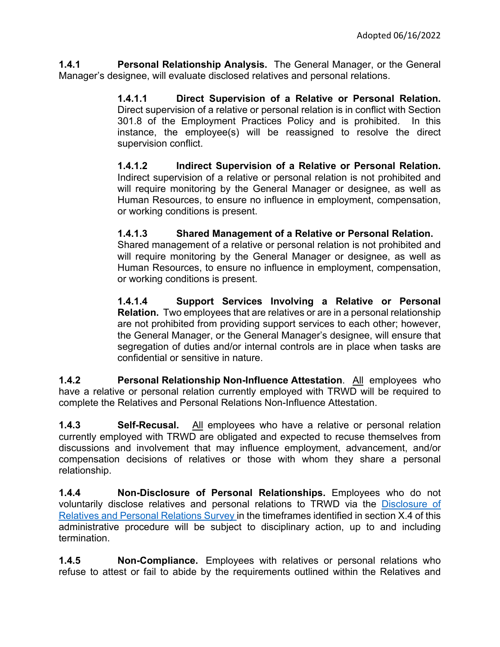**1.4.1 Personal Relationship Analysis.** The General Manager, or the General Manager's designee, will evaluate disclosed relatives and personal relations.

> **1.4.1.1 Direct Supervision of a Relative or Personal Relation.**  Direct supervision of a relative or personal relation is in conflict with Section 301.8 of the Employment Practices Policy and is prohibited. In this instance, the employee(s) will be reassigned to resolve the direct supervision conflict.

> **1.4.1.2 Indirect Supervision of a Relative or Personal Relation.**  Indirect supervision of a relative or personal relation is not prohibited and will require monitoring by the General Manager or designee, as well as Human Resources, to ensure no influence in employment, compensation, or working conditions is present.

## **1.4.1.3 Shared Management of a Relative or Personal Relation.**

Shared management of a relative or personal relation is not prohibited and will require monitoring by the General Manager or designee, as well as Human Resources, to ensure no influence in employment, compensation, or working conditions is present.

**1.4.1.4 Support Services Involving a Relative or Personal Relation.** Two employees that are relatives or are in a personal relationship are not prohibited from providing support services to each other; however, the General Manager, or the General Manager's designee, will ensure that segregation of duties and/or internal controls are in place when tasks are confidential or sensitive in nature.

**1.4.2 Personal Relationship Non-Influence Attestation**. All employees who have a relative or personal relation currently employed with TRWD will be required to complete the Relatives and Personal Relations Non-Influence Attestation.

**1.4.3 Self-Recusal.** All employees who have a relative or personal relation currently employed with TRWD are obligated and expected to recuse themselves from discussions and involvement that may influence employment, advancement, and/or compensation decisions of relatives or those with whom they share a personal relationship.

**1.4.4 Non-Disclosure of Personal Relationships.** Employees who do not voluntarily disclose relatives and personal relations to TRWD via the [Disclosure of](https://forms.office.com/Pages/ResponsePage.aspx?id=8QreyRs2rkKs46tM6my43NOH6ENl14dGvuouvF1NEX1UQ0Y1Q05SVUlLNFM4WUI2RVFVTDlBNTA4Qi4u)  [Relatives and Personal Relations Survey](https://forms.office.com/Pages/ResponsePage.aspx?id=8QreyRs2rkKs46tM6my43NOH6ENl14dGvuouvF1NEX1UQ0Y1Q05SVUlLNFM4WUI2RVFVTDlBNTA4Qi4u) in the timeframes identified in section X.4 of this administrative procedure will be subject to disciplinary action, up to and including termination.

**1.4.5 Non-Compliance.** Employees with relatives or personal relations who refuse to attest or fail to abide by the requirements outlined within the Relatives and